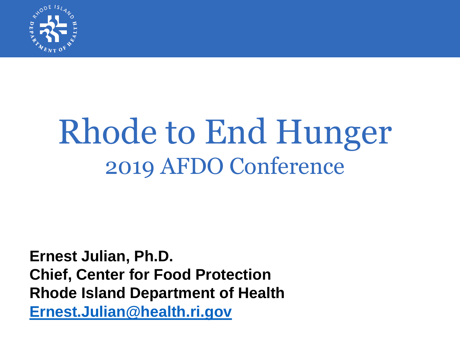

# Rhode to End Hunger 2019 AFDO Conference

**Ernest Julian, Ph.D. Chief, Center for Food Protection Rhode Island Department of Health [Ernest.Julian@health.ri.gov](mailto:Ernest.Julian@health.ri.gov)**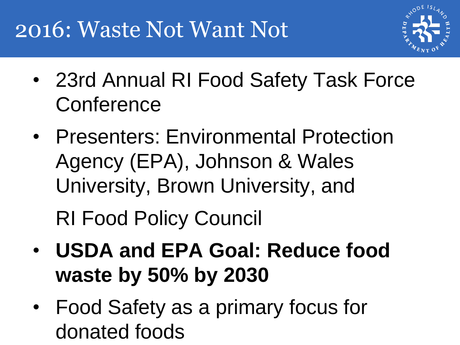#### 2016: Waste Not Want Not



- 23rd Annual RI Food Safety Task Force **Conference**
- Presenters: Environmental Protection Agency (EPA), Johnson & Wales University, Brown University, and RI Food Policy Council

- **USDA and EPA Goal: Reduce food waste by 50% by 2030**
- Food Safety as a primary focus for donated foods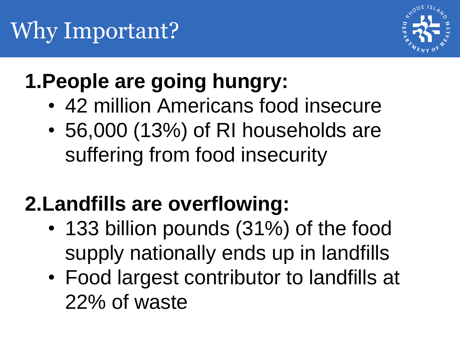

#### **1.People are going hungry:**

- 42 million Americans food insecure
- 56,000 (13%) of RI households are suffering from food insecurity

#### **2.Landfills are overflowing:**

- 133 billion pounds (31%) of the food supply nationally ends up in landfills
- Food largest contributor to landfills at 22% of waste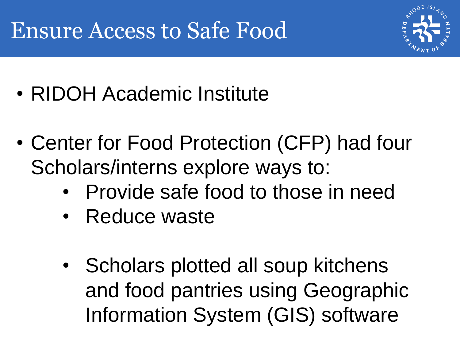#### Ensure Access to Safe Food



- RIDOH Academic Institute
- Center for Food Protection (CFP) had four Scholars/interns explore ways to:
	- Provide safe food to those in need
	- Reduce waste
	- Scholars plotted all soup kitchens and food pantries using Geographic Information System (GIS) software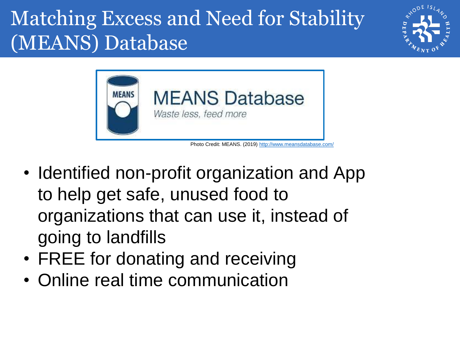#### Matching Excess and Need for Stability (MEANS) Database





Photo Credit: MEANS. (2019) <http://www.meansdatabase.com/>

- Identified non-profit organization and App to help get safe, unused food to organizations that can use it, instead of going to landfills
- FREE for donating and receiving
- Online real time communication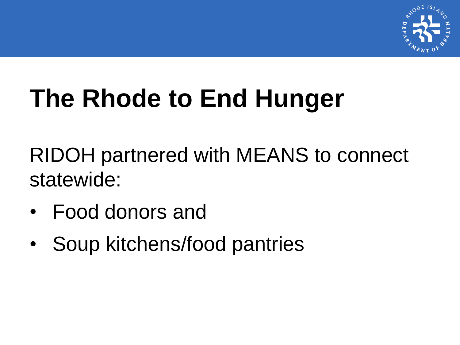

# **The Rhode to End Hunger**

RIDOH partnered with MEANS to connect statewide:

- Food donors and
- Soup kitchens/food pantries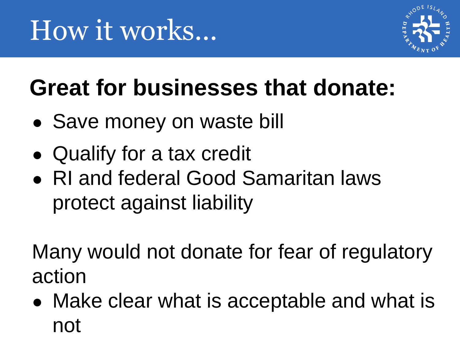

### **Great for businesses that donate:**

- Save money on waste bill
- Qualify for a tax credit
- RI and federal Good Samaritan laws protect against liability

Many would not donate for fear of regulatory action

• Make clear what is acceptable and what is not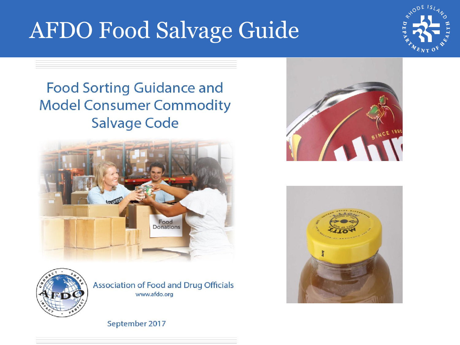#### AFDO Food Salvage Guide



#### **Food Sorting Guidance and Model Consumer Commodity Salvage Code**





Association of Food and Drug Officials www.afdo.org





September 2017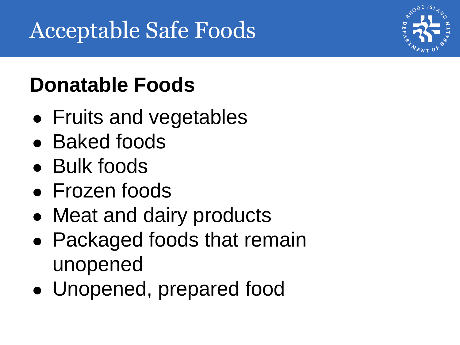#### **Donatable Foods**

- Fruits and vegetables
- Baked foods
- Bulk foods
- Frozen foods
- Meat and dairy products
- Packaged foods that remain unopened
- Unopened, prepared food

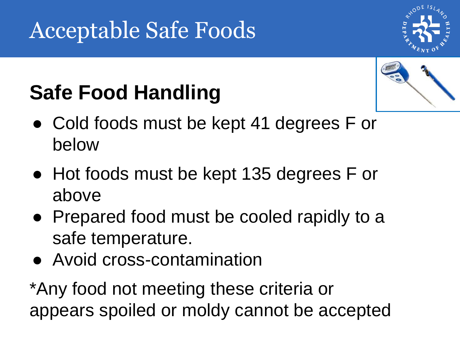#### Acceptable Safe Foods



#### **Safe Food Handling**



- Cold foods must be kept 41 degrees F or below
- Hot foods must be kept 135 degrees F or above
- Prepared food must be cooled rapidly to a safe temperature.
- Avoid cross-contamination

\*Any food not meeting these criteria or appears spoiled or moldy cannot be accepted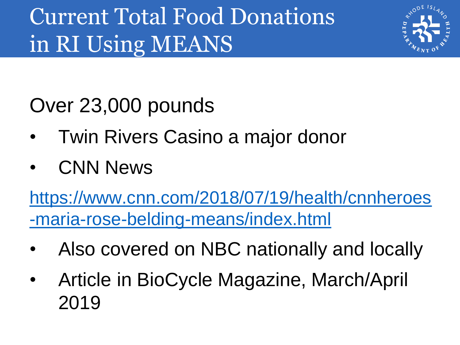#### Current Total Food Donations in RI Using MEANS



Over 23,000 pounds

- Twin Rivers Casino a major donor
- CNN News

[https://www.cnn.com/2018/07/19/health/cnnheroes](https://www.cnn.com/2018/07/19/health/cnnheroes-maria-rose-belding-means/index.html) -maria-rose-belding-means/index.html

- Also covered on NBC nationally and locally
- Article in BioCycle Magazine, March/April 2019